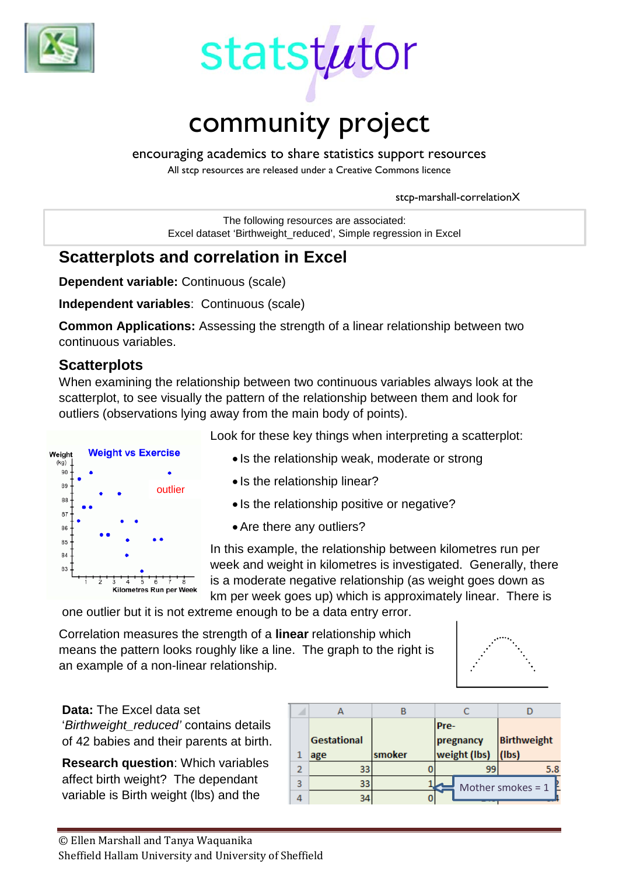



encouraging academics to share statistics support resources

All stcp resources are released under a Creative Commons licence

stcp-marshall-correlationX

The following resources are associated: Excel dataset 'Birthweight\_reduced', Simple regression in Excel

# **Scatterplots and correlation in Excel**

**Dependent variable:** Continuous (scale)

**Independent variables**: Continuous (scale)

**Common Applications:** Assessing the strength of a linear relationship between two continuous variables.

## **Scatterplots**

When examining the relationship between two continuous variables always look at the scatterplot, to see visually the pattern of the relationship between them and look for outliers (observations lying away from the main body of points).



Look for these key things when interpreting a scatterplot:

- Is the relationship weak, moderate or strong
- Is the relationship linear?
- Is the relationship positive or negative?
- •Are there any outliers?

In this example, the relationship between kilometres run per week and weight in kilometres is investigated. Generally, there is a moderate negative relationship (as weight goes down as km per week goes up) which is approximately linear. There is

one outlier but it is not extreme enough to be a data entry error.

Correlation measures the strength of a **linear** relationship which means the pattern looks roughly like a line. The graph to the right is an example of a non-linear relationship.



# **Data:** The Excel data set

'*Birthweight\_reduced'* contains details of 42 babies and their parents at birth.

**Research question**: Which variables affect birth weight? The dependant variable is Birth weight (lbs) and the

|   |             |        | Pre-         |    |                     |
|---|-------------|--------|--------------|----|---------------------|
|   | Gestational |        | pregnancy    |    | <b>Birthweight</b>  |
|   | age         | smoker | weight (lbs) |    | $ $ (lbs)           |
|   | 33          |        |              | 99 | 5.8                 |
| 3 | 33          |        |              |    | Mother smokes = $1$ |
|   | 34          |        |              |    |                     |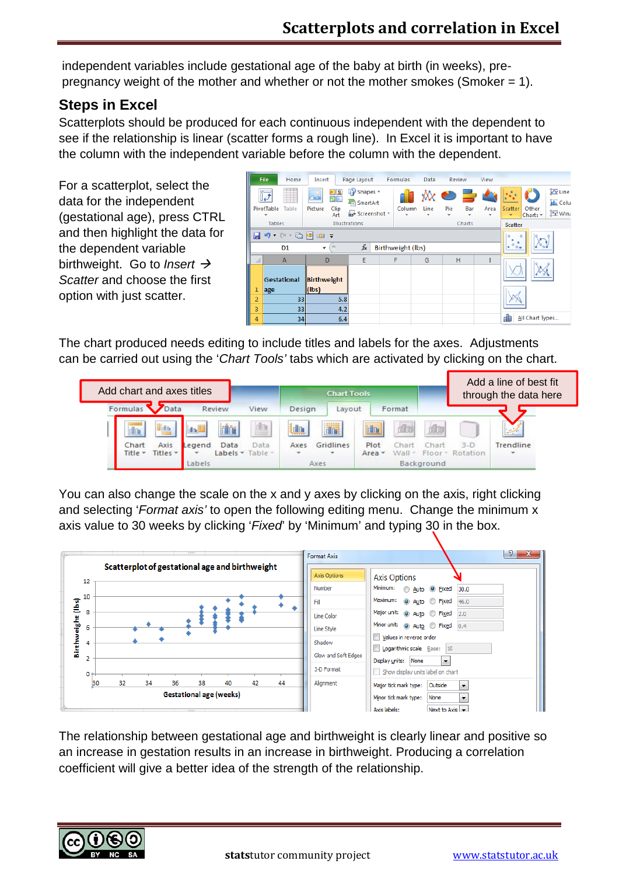independent variables include gestational age of the baby at birth (in weeks), prepregnancy weight of the mother and whether or not the mother smokes (Smoker = 1).

## **Steps in Excel**

Scatterplots should be produced for each continuous independent with the dependent to see if the relationship is linear (scatter forms a rough line). In Excel it is important to have the column with the independent variable before the column with the dependent.

For a scatterplot, select the data for the independent (gestational age), press CTRL and then highlight the data for the dependent variable birthweight. Go to *Insert Scatter* and choose the first option with just scatter.

|                | File<br>Home                                                                 | Insert                                          | Page Layout                                            | Formulas | Data | Review           | View                                                               |                                                                                                                                           |
|----------------|------------------------------------------------------------------------------|-------------------------------------------------|--------------------------------------------------------|----------|------|------------------|--------------------------------------------------------------------|-------------------------------------------------------------------------------------------------------------------------------------------|
|                | Ш<br>Table<br>PivotTable                                                     | ≥   2<br>MΣ<br>$\sim$<br>Picture<br>Clip<br>Art | $\mathbb{R}$ Shapes $\tau$<br>SmartArt<br>Screenshot * | Column   | Line | ▓◓▅▖<br>Pie<br>÷ | Bar<br>Area<br>$\overline{\phantom{a}}$                            | $\overline{\mathsf{w}}$ Line<br><b>IL</b> Colu<br>Scatter<br>Other<br>$\frac{\ln n}{n}$ Win/<br>Charts $\tau$<br>$\overline{\phantom{a}}$ |
|                | <b>Tables</b>                                                                |                                                 | Illustrations                                          |          |      | Charts           |                                                                    | <b>Scatter</b>                                                                                                                            |
|                | → 哂 層 四 ⇒<br>$-1$<br>ΗЭ<br>$f_x$<br>Birthweight (lbs)<br>D <sub>1</sub><br>۰ |                                                 |                                                        |          |      |                  | $\circ$<br>$\circ$<br>$^{\circ}$<br>$\ddot{\circ}$<br>$\circ$<br>۰ |                                                                                                                                           |
|                | $\overline{A}$                                                               | E<br>D                                          |                                                        | F        | G    | H                |                                                                    |                                                                                                                                           |
|                | <b>Gestational</b>                                                           | Birthweight<br>$\ $ (lbs)                       |                                                        |          |      |                  |                                                                    |                                                                                                                                           |
|                | age                                                                          |                                                 |                                                        |          |      |                  |                                                                    |                                                                                                                                           |
| $\overline{2}$ | 33                                                                           | 5.8                                             |                                                        |          |      |                  |                                                                    |                                                                                                                                           |
| 3              | 33                                                                           | 4.2                                             |                                                        |          |      |                  |                                                                    |                                                                                                                                           |
| 4              | 34                                                                           | 6.4                                             |                                                        |          |      |                  |                                                                    | All Chart Types                                                                                                                           |

The chart produced needs editing to include titles and labels for the axes. Adjustments can be carried out using the '*Chart Tools'* tabs which are activated by clicking on the chart.



You can also change the scale on the x and y axes by clicking on the axis, right clicking and selecting '*Format axis'* to open the following editing menu. Change the minimum x axis value to 30 weeks by clicking '*Fixed*' by 'Minimum' and typing 30 in the box.



The relationship between gestational age and birthweight is clearly linear and positive so an increase in gestation results in an increase in birthweight. Producing a correlation coefficient will give a better idea of the strength of the relationship.

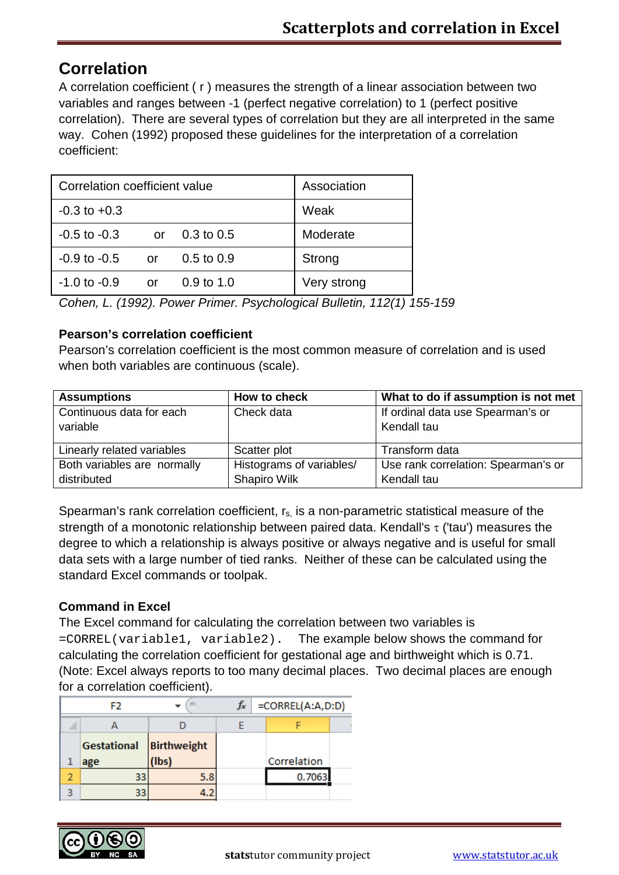# **Correlation**

A correlation coefficient ( r ) measures the strength of a linear association between two variables and ranges between -1 (perfect negative correlation) to 1 (perfect positive correlation). There are several types of correlation but they are all interpreted in the same way. Cohen (1992) proposed these guidelines for the interpretation of a correlation coefficient:

| Correlation coefficient value | Association |                       |             |
|-------------------------------|-------------|-----------------------|-------------|
| $-0.3$ to $+0.3$              |             |                       | Weak        |
| $-0.5$ to $-0.3$              | or          | $0.3 \text{ to } 0.5$ | Moderate    |
| $-0.9$ to $-0.5$              | or          | $0.5$ to $0.9$        | Strong      |
| $-1.0$ to $-0.9$              | or          | $0.9 \text{ to } 1.0$ | Very strong |

*Cohen, L. (1992). Power Primer. Psychological Bulletin, 112(1) 155-159*

#### **Pearson's correlation coefficient**

Pearson's correlation coefficient is the most common measure of correlation and is used when both variables are continuous (scale).

| <b>Assumptions</b>          | How to check             | What to do if assumption is not met |
|-----------------------------|--------------------------|-------------------------------------|
| Continuous data for each    | Check data               | If ordinal data use Spearman's or   |
| variable                    |                          | Kendall tau                         |
|                             |                          |                                     |
| Linearly related variables  | Scatter plot             | Transform data                      |
| Both variables are normally | Histograms of variables/ | Use rank correlation: Spearman's or |
| distributed                 | Shapiro Wilk             | Kendall tau                         |

Spearman's rank correlation coefficient,  $r_s$  is a non-parametric statistical measure of the strength of a monotonic relationship between paired data. Kendall's  $\tau$  ('tau') measures the degree to which a relationship is always positive or always negative and is useful for small data sets with a large number of tied ranks. Neither of these can be calculated using the standard Excel commands or toolpak.

#### **Command in Excel**

The Excel command for calculating the correlation between two variables is =CORREL(variable1, variable2). The example below shows the command for calculating the correlation coefficient for gestational age and birthweight which is 0.71. (Note: Excel always reports to too many decimal places. Two decimal places are enough for a correlation coefficient).

| F2 |                    |             | $f_{\mathbf{x}}$ | $=CORREL(A:A, D:D)$ |  |  |
|----|--------------------|-------------|------------------|---------------------|--|--|
|    |                    |             |                  |                     |  |  |
|    | <b>Gestational</b> | Birthweight |                  |                     |  |  |
|    | age                | (lbs        |                  | Correlation         |  |  |
|    |                    | 5.8         |                  | 0.7063              |  |  |
|    |                    |             |                  |                     |  |  |